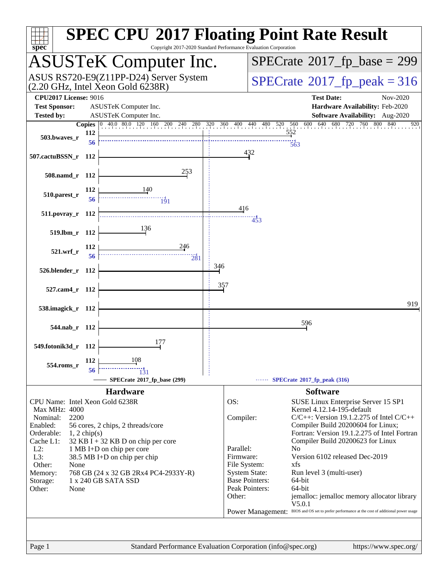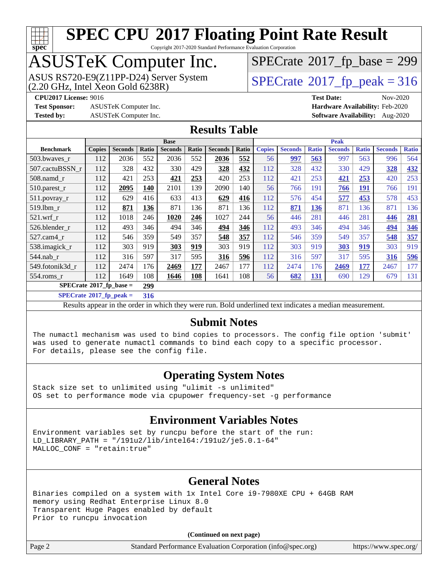

Copyright 2017-2020 Standard Performance Evaluation Corporation

# ASUSTeK Computer Inc.

ASUS RS720-E9(Z11PP-D24) Server System  $(2.20 \text{ GHz}, \text{ Intel Xeon Gold } 6238\text{R})$  [SPECrate](http://www.spec.org/auto/cpu2017/Docs/result-fields.html#SPECrate2017fppeak)®[2017\\_fp\\_peak = 3](http://www.spec.org/auto/cpu2017/Docs/result-fields.html#SPECrate2017fppeak)16

 $SPECTate$ <sup>®</sup>[2017\\_fp\\_base =](http://www.spec.org/auto/cpu2017/Docs/result-fields.html#SPECrate2017fpbase) 299

**[Test Sponsor:](http://www.spec.org/auto/cpu2017/Docs/result-fields.html#TestSponsor)** ASUSTeK Computer Inc. **[Hardware Availability:](http://www.spec.org/auto/cpu2017/Docs/result-fields.html#HardwareAvailability)** Feb-2020

**[CPU2017 License:](http://www.spec.org/auto/cpu2017/Docs/result-fields.html#CPU2017License)** 9016 **[Test Date:](http://www.spec.org/auto/cpu2017/Docs/result-fields.html#TestDate)** Nov-2020 **[Tested by:](http://www.spec.org/auto/cpu2017/Docs/result-fields.html#Testedby)** ASUSTeK Computer Inc. **[Software Availability:](http://www.spec.org/auto/cpu2017/Docs/result-fields.html#SoftwareAvailability)** Aug-2020

**[Results Table](http://www.spec.org/auto/cpu2017/Docs/result-fields.html#ResultsTable)**

|                                  |               |                |       | <b>Base</b>    |       |                |       |                                                                                                     |      |            | <b>Peak</b> |              |      |     |
|----------------------------------|---------------|----------------|-------|----------------|-------|----------------|-------|-----------------------------------------------------------------------------------------------------|------|------------|-------------|--------------|------|-----|
| <b>Benchmark</b>                 | <b>Copies</b> | <b>Seconds</b> | Ratio | <b>Seconds</b> | Ratio | <b>Seconds</b> | Ratio | <b>Copies</b><br><b>Seconds</b><br><b>Seconds</b><br><b>Ratio</b><br><b>Ratio</b><br><b>Seconds</b> |      |            |             | <b>Ratio</b> |      |     |
| 503.bwaves_r                     | 112           | 2036           | 552   | 2036           | 552   | 2036           | 552   | 56                                                                                                  | 997  | 563        | 997         | 563          | 996  | 564 |
| 507.cactuBSSN r                  | 112           | 328            | 432   | 330            | 429   | 328            | 432   | 112                                                                                                 | 328  | 432        | 330         | 429          | 328  | 432 |
| $508$ .namd $r$                  | 112           | 421            | 253   | 421            | 253   | 420            | 253   | 112                                                                                                 | 421  | 253        | 421         | 253          | 420  | 253 |
| 510.parest_r                     | 112           | 2095           | 140   | 2101           | 139   | 2090           | 140   | 56                                                                                                  | 766  | 191        | 766         | <u>191</u>   | 766  | 191 |
| 511.povray_r                     | 112           | 629            | 416   | 633            | 413   | 629            | 416   | 112                                                                                                 | 576  | 454        | 577         | 453          | 578  | 453 |
| $519.1$ bm r                     | 112           | 871            | 136   | 871            | 136   | 871            | 136   | 112                                                                                                 | 871  | 136        | 871         | 136          | 871  | 136 |
| $521$ .wrf r                     | 112           | 1018           | 246   | 1020           | 246   | 1027           | 244   | 56                                                                                                  | 446  | 281        | 446         | 281          | 446  | 281 |
| 526.blender r                    | 112           | 493            | 346   | 494            | 346   | 494            | 346   | 112                                                                                                 | 493  | 346        | 494         | 346          | 494  | 346 |
| $527$ .cam $4$ r                 | 112           | 546            | 359   | 549            | 357   | 548            | 357   | 112                                                                                                 | 546  | 359        | 549         | 357          | 548  | 357 |
| 538.imagick_r                    | 112           | 303            | 919   | 303            | 919   | 303            | 919   | 112                                                                                                 | 303  | 919        | 303         | 919          | 303  | 919 |
| $544$ .nab r                     | 112           | 316            | 597   | 317            | 595   | 316            | 596   | 112                                                                                                 | 316  | 597        | 317         | 595          | 316  | 596 |
| 549.fotonik3d r                  | 112           | 2474           | 176   | 2469           | 177   | 2467           | 177   | 112                                                                                                 | 2474 | 176        | 2469        | 177          | 2467 | 177 |
| $554$ .roms r                    | 112           | 1649           | 108   | 1646           | 108   | 1641           | 108   | 56                                                                                                  | 682  | <u>131</u> | 690         | 129          | 679  | 131 |
| $SPECrate^{\circ}2017$ fp base = |               |                | 299   |                |       |                |       |                                                                                                     |      |            |             |              |      |     |

**[SPECrate](http://www.spec.org/auto/cpu2017/Docs/result-fields.html#SPECrate2017fppeak)[2017\\_fp\\_peak =](http://www.spec.org/auto/cpu2017/Docs/result-fields.html#SPECrate2017fppeak) 316**

Results appear in the [order in which they were run](http://www.spec.org/auto/cpu2017/Docs/result-fields.html#RunOrder). Bold underlined text [indicates a median measurement](http://www.spec.org/auto/cpu2017/Docs/result-fields.html#Median).

### **[Submit Notes](http://www.spec.org/auto/cpu2017/Docs/result-fields.html#SubmitNotes)**

The numactl mechanism was used to bind copies to processors. The config file option 'submit' was used to generate numactl commands to bind each copy to a specific processor. For details, please see the config file.

## **[Operating System Notes](http://www.spec.org/auto/cpu2017/Docs/result-fields.html#OperatingSystemNotes)**

Stack size set to unlimited using "ulimit -s unlimited" OS set to performance mode via cpupower frequency-set -g performance

## **[Environment Variables Notes](http://www.spec.org/auto/cpu2017/Docs/result-fields.html#EnvironmentVariablesNotes)**

Environment variables set by runcpu before the start of the run: LD\_LIBRARY\_PATH = "/191u2/lib/intel64:/191u2/je5.0.1-64" MALLOC\_CONF = "retain:true"

## **[General Notes](http://www.spec.org/auto/cpu2017/Docs/result-fields.html#GeneralNotes)**

Binaries compiled on a system with 1x Intel Core i9-7980XE CPU + 64GB RAM memory using Redhat Enterprise Linux 8.0 Transparent Huge Pages enabled by default Prior to runcpu invocation

**(Continued on next page)**

Page 2 Standard Performance Evaluation Corporation [\(info@spec.org\)](mailto:info@spec.org) <https://www.spec.org/>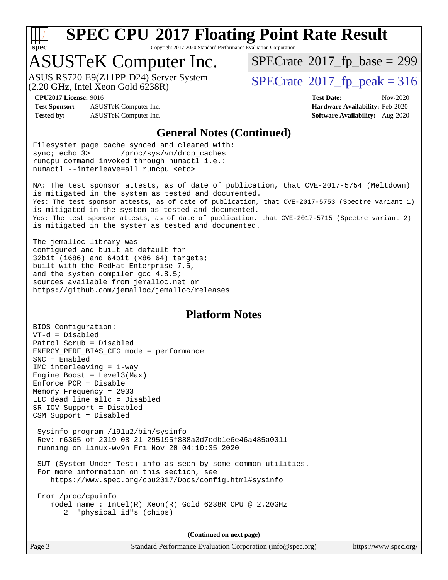

Copyright 2017-2020 Standard Performance Evaluation Corporation

## ASUSTeK Computer Inc.

ASUS RS720-E9(Z11PP-D24) Server System<br>(2.20 GHz, Intel Xeon Gold 6238R)

 $SPECTate$ <sup>®</sup>[2017\\_fp\\_base =](http://www.spec.org/auto/cpu2017/Docs/result-fields.html#SPECrate2017fpbase) 299

 $SPECTate<sup>®</sup>2017<sub>fr</sub>peak = 316$ 

**[Test Sponsor:](http://www.spec.org/auto/cpu2017/Docs/result-fields.html#TestSponsor)** ASUSTeK Computer Inc. **[Hardware Availability:](http://www.spec.org/auto/cpu2017/Docs/result-fields.html#HardwareAvailability)** Feb-2020 **[Tested by:](http://www.spec.org/auto/cpu2017/Docs/result-fields.html#Testedby)** ASUSTeK Computer Inc. **[Software Availability:](http://www.spec.org/auto/cpu2017/Docs/result-fields.html#SoftwareAvailability)** Aug-2020

**[CPU2017 License:](http://www.spec.org/auto/cpu2017/Docs/result-fields.html#CPU2017License)** 9016 **[Test Date:](http://www.spec.org/auto/cpu2017/Docs/result-fields.html#TestDate)** Nov-2020

### **[General Notes \(Continued\)](http://www.spec.org/auto/cpu2017/Docs/result-fields.html#GeneralNotes)**

Filesystem page cache synced and cleared with: sync; echo 3> /proc/sys/vm/drop\_caches runcpu command invoked through numactl i.e.: numactl --interleave=all runcpu <etc>

NA: The test sponsor attests, as of date of publication, that CVE-2017-5754 (Meltdown) is mitigated in the system as tested and documented. Yes: The test sponsor attests, as of date of publication, that CVE-2017-5753 (Spectre variant 1) is mitigated in the system as tested and documented. Yes: The test sponsor attests, as of date of publication, that CVE-2017-5715 (Spectre variant 2) is mitigated in the system as tested and documented.

The jemalloc library was configured and built at default for 32bit (i686) and 64bit (x86\_64) targets; built with the RedHat Enterprise 7.5, and the system compiler gcc 4.8.5; sources available from jemalloc.net or <https://github.com/jemalloc/jemalloc/releases>

## **[Platform Notes](http://www.spec.org/auto/cpu2017/Docs/result-fields.html#PlatformNotes)**

BIOS Configuration: VT-d = Disabled Patrol Scrub = Disabled ENERGY\_PERF\_BIAS\_CFG mode = performance SNC = Enabled IMC interleaving = 1-way Engine Boost = Level3(Max) Enforce POR = Disable Memory Frequency = 2933 LLC dead line allc = Disabled SR-IOV Support = Disabled CSM Support = Disabled Sysinfo program /191u2/bin/sysinfo Rev: r6365 of 2019-08-21 295195f888a3d7edb1e6e46a485a0011 running on linux-wv9n Fri Nov 20 04:10:35 2020 SUT (System Under Test) info as seen by some common utilities. For more information on this section, see <https://www.spec.org/cpu2017/Docs/config.html#sysinfo> From /proc/cpuinfo model name : Intel(R) Xeon(R) Gold 6238R CPU @ 2.20GHz 2 "physical id"s (chips)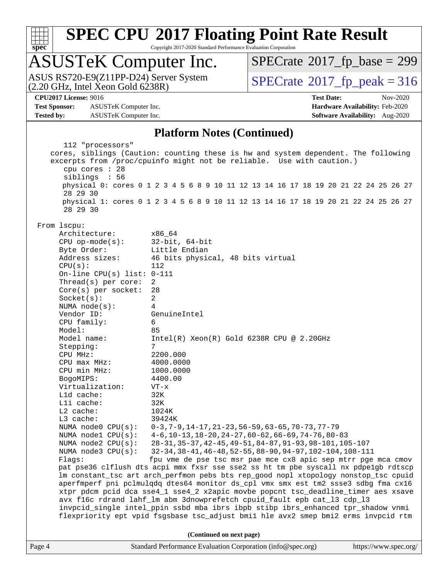

Copyright 2017-2020 Standard Performance Evaluation Corporation

## ASUSTeK Computer Inc.

 $(2.20 \text{ GHz}, \text{ Intel Xeon Gold } 6238\text{R})$ ASUS RS720-E9(Z11PP-D24) Server System  $\vert$  [SPECrate](http://www.spec.org/auto/cpu2017/Docs/result-fields.html#SPECrate2017fppeak)®[2017\\_fp\\_peak = 3](http://www.spec.org/auto/cpu2017/Docs/result-fields.html#SPECrate2017fppeak)16

 $SPECTate$ <sup>®</sup>[2017\\_fp\\_base =](http://www.spec.org/auto/cpu2017/Docs/result-fields.html#SPECrate2017fpbase) 299

**[Test Sponsor:](http://www.spec.org/auto/cpu2017/Docs/result-fields.html#TestSponsor)** ASUSTeK Computer Inc. **[Hardware Availability:](http://www.spec.org/auto/cpu2017/Docs/result-fields.html#HardwareAvailability)** Feb-2020 **[Tested by:](http://www.spec.org/auto/cpu2017/Docs/result-fields.html#Testedby)** ASUSTeK Computer Inc. **[Software Availability:](http://www.spec.org/auto/cpu2017/Docs/result-fields.html#SoftwareAvailability)** Aug-2020

**[CPU2017 License:](http://www.spec.org/auto/cpu2017/Docs/result-fields.html#CPU2017License)** 9016 **[Test Date:](http://www.spec.org/auto/cpu2017/Docs/result-fields.html#TestDate)** Nov-2020

### **[Platform Notes \(Continued\)](http://www.spec.org/auto/cpu2017/Docs/result-fields.html#PlatformNotes)**

Page 4 Standard Performance Evaluation Corporation [\(info@spec.org\)](mailto:info@spec.org) <https://www.spec.org/> 112 "processors" cores, siblings (Caution: counting these is hw and system dependent. The following excerpts from /proc/cpuinfo might not be reliable. Use with caution.) cpu cores : 28 siblings : 56 physical 0: cores 0 1 2 3 4 5 6 8 9 10 11 12 13 14 16 17 18 19 20 21 22 24 25 26 27 28 29 30 physical 1: cores 0 1 2 3 4 5 6 8 9 10 11 12 13 14 16 17 18 19 20 21 22 24 25 26 27 28 29 30 From lscpu: Architecture: x86\_64 CPU op-mode(s): 32-bit, 64-bit Byte Order: Little Endian Address sizes: 46 bits physical, 48 bits virtual  $CPU(s):$  112 On-line CPU(s) list: 0-111 Thread(s) per core: 2 Core(s) per socket: 28 Socket(s): 2 NUMA node(s): 4 Vendor ID: GenuineIntel CPU family: 6 Model: 85<br>Model name: 1n Intel(R) Xeon(R) Gold 6238R CPU @ 2.20GHz Stepping: 7 CPU MHz: 2200.000 CPU max MHz: 4000.0000 CPU min MHz: 1000.0000 BogoMIPS: 4400.00 Virtualization: VT-x L1d cache: 32K L1i cache: 32K L2 cache: 1024K L3 cache: 39424K NUMA node0 CPU(s): 0-3,7-9,14-17,21-23,56-59,63-65,70-73,77-79 NUMA node1 CPU(s): 4-6,10-13,18-20,24-27,60-62,66-69,74-76,80-83 NUMA node2 CPU(s): 28-31,35-37,42-45,49-51,84-87,91-93,98-101,105-107 NUMA node3 CPU(s): 32-34,38-41,46-48,52-55,88-90,94-97,102-104,108-111 Flags: fpu vme de pse tsc msr pae mce cx8 apic sep mtrr pge mca cmov pat pse36 clflush dts acpi mmx fxsr sse sse2 ss ht tm pbe syscall nx pdpe1gb rdtscp lm constant\_tsc art arch\_perfmon pebs bts rep\_good nopl xtopology nonstop\_tsc cpuid aperfmperf pni pclmulqdq dtes64 monitor ds\_cpl vmx smx est tm2 ssse3 sdbg fma cx16 xtpr pdcm pcid dca sse4\_1 sse4\_2 x2apic movbe popcnt tsc\_deadline\_timer aes xsave avx f16c rdrand lahf\_lm abm 3dnowprefetch cpuid\_fault epb cat\_l3 cdp\_l3 invpcid\_single intel\_ppin ssbd mba ibrs ibpb stibp ibrs\_enhanced tpr\_shadow vnmi flexpriority ept vpid fsgsbase tsc\_adjust bmi1 hle avx2 smep bmi2 erms invpcid rtm **(Continued on next page)**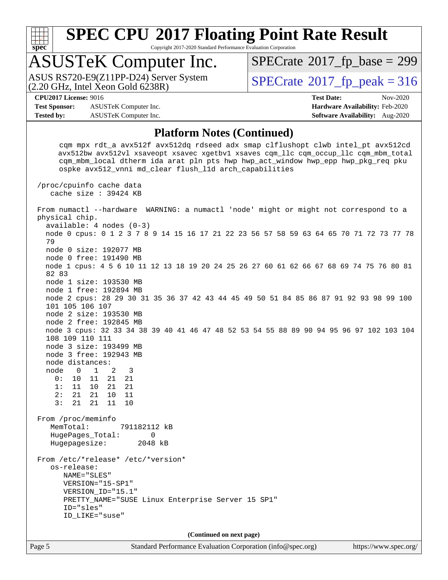

Copyright 2017-2020 Standard Performance Evaluation Corporation

# ASUSTeK Computer Inc.<br>ASUS RS720-E9(Z11PP-D24) Server System

 $(2.20 \text{ GHz}, \text{Intel } \hat{\text{X}}$ con Gold 6238R)

 $SPECTate$ <sup>®</sup>[2017\\_fp\\_base =](http://www.spec.org/auto/cpu2017/Docs/result-fields.html#SPECrate2017fpbase) 299

**[Test Sponsor:](http://www.spec.org/auto/cpu2017/Docs/result-fields.html#TestSponsor)** ASUSTeK Computer Inc. **[Hardware Availability:](http://www.spec.org/auto/cpu2017/Docs/result-fields.html#HardwareAvailability)** Feb-2020 **[Tested by:](http://www.spec.org/auto/cpu2017/Docs/result-fields.html#Testedby)** ASUSTeK Computer Inc. **[Software Availability:](http://www.spec.org/auto/cpu2017/Docs/result-fields.html#SoftwareAvailability)** Aug-2020

 $SPECTate<sup>®</sup>2017<sub>fr</sub>peak = 316$ **[CPU2017 License:](http://www.spec.org/auto/cpu2017/Docs/result-fields.html#CPU2017License)** 9016 **[Test Date:](http://www.spec.org/auto/cpu2017/Docs/result-fields.html#TestDate)** Nov-2020

### **[Platform Notes \(Continued\)](http://www.spec.org/auto/cpu2017/Docs/result-fields.html#PlatformNotes)**

 cqm mpx rdt\_a avx512f avx512dq rdseed adx smap clflushopt clwb intel\_pt avx512cd avx512bw avx512vl xsaveopt xsavec xgetbv1 xsaves cqm\_llc cqm\_occup\_llc cqm\_mbm\_total cqm\_mbm\_local dtherm ida arat pln pts hwp hwp\_act\_window hwp\_epp hwp\_pkg\_req pku ospke avx512\_vnni md\_clear flush\_l1d arch\_capabilities /proc/cpuinfo cache data cache size : 39424 KB From numactl --hardware WARNING: a numactl 'node' might or might not correspond to a physical chip. available: 4 nodes (0-3) node 0 cpus: 0 1 2 3 7 8 9 14 15 16 17 21 22 23 56 57 58 59 63 64 65 70 71 72 73 77 78 79 node 0 size: 192077 MB node 0 free: 191490 MB node 1 cpus: 4 5 6 10 11 12 13 18 19 20 24 25 26 27 60 61 62 66 67 68 69 74 75 76 80 81 82 83 node 1 size: 193530 MB node 1 free: 192894 MB node 2 cpus: 28 29 30 31 35 36 37 42 43 44 45 49 50 51 84 85 86 87 91 92 93 98 99 100 101 105 106 107 node 2 size: 193530 MB node 2 free: 192845 MB node 3 cpus: 32 33 34 38 39 40 41 46 47 48 52 53 54 55 88 89 90 94 95 96 97 102 103 104 108 109 110 111 node 3 size: 193499 MB node 3 free: 192943 MB node distances: node 0 1 2 3 0: 10 11 21 21 1: 11 10 21 21 2: 21 21 10 11 3: 21 21 11 10 From /proc/meminfo MemTotal: 791182112 kB HugePages\_Total: 0 Hugepagesize: 2048 kB From /etc/\*release\* /etc/\*version\* os-release: NAME="SLES" VERSION="15-SP1" VERSION\_ID="15.1" PRETTY\_NAME="SUSE Linux Enterprise Server 15 SP1" ID="sles" ID\_LIKE="suse" **(Continued on next page)**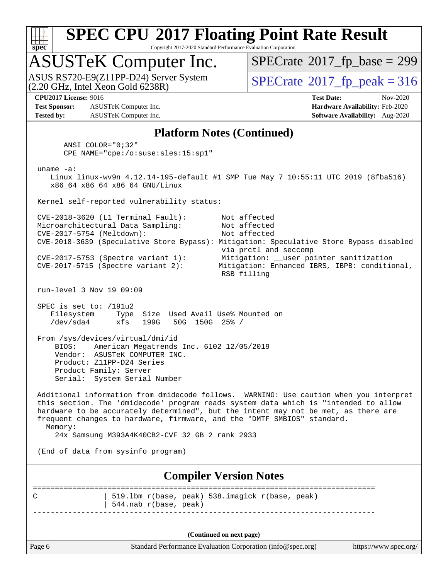

Copyright 2017-2020 Standard Performance Evaluation Corporation

## ASUSTeK Computer Inc.

 $(2.20 \text{ GHz}, \text{Intel } \hat{\text{X}}$ con Gold 6238R) ASUS RS720-E9(Z11PP-D24) Server System  $\sqrt{SPECrate^{\circ}2017\_fp\_peak} = 316$  $\sqrt{SPECrate^{\circ}2017\_fp\_peak} = 316$  $\sqrt{SPECrate^{\circ}2017\_fp\_peak} = 316$ 

 $SPECTate$ <sup>®</sup>[2017\\_fp\\_base =](http://www.spec.org/auto/cpu2017/Docs/result-fields.html#SPECrate2017fpbase) 299

**[Test Sponsor:](http://www.spec.org/auto/cpu2017/Docs/result-fields.html#TestSponsor)** ASUSTeK Computer Inc. **[Hardware Availability:](http://www.spec.org/auto/cpu2017/Docs/result-fields.html#HardwareAvailability)** Feb-2020 **[Tested by:](http://www.spec.org/auto/cpu2017/Docs/result-fields.html#Testedby)** ASUSTeK Computer Inc. **[Software Availability:](http://www.spec.org/auto/cpu2017/Docs/result-fields.html#SoftwareAvailability)** Aug-2020

**[CPU2017 License:](http://www.spec.org/auto/cpu2017/Docs/result-fields.html#CPU2017License)** 9016 **[Test Date:](http://www.spec.org/auto/cpu2017/Docs/result-fields.html#TestDate)** Nov-2020

### **[Platform Notes \(Continued\)](http://www.spec.org/auto/cpu2017/Docs/result-fields.html#PlatformNotes)**

 ANSI\_COLOR="0;32" CPE\_NAME="cpe:/o:suse:sles:15:sp1" uname -a: Linux linux-wv9n 4.12.14-195-default #1 SMP Tue May 7 10:55:11 UTC 2019 (8fba516) x86\_64 x86\_64 x86\_64 GNU/Linux Kernel self-reported vulnerability status: CVE-2018-3620 (L1 Terminal Fault): Not affected Microarchitectural Data Sampling: Not affected CVE-2017-5754 (Meltdown): Not affected CVE-2018-3639 (Speculative Store Bypass): Mitigation: Speculative Store Bypass disabled via prctl and seccomp CVE-2017-5753 (Spectre variant 1): Mitigation: \_\_user pointer sanitization CVE-2017-5715 (Spectre variant 2):<br>CVE-2017-5715 (Spectre variant 2): Mitigation: Enhanced IBRS, IBPB: conditional, RSB filling run-level 3 Nov 19 09:09 SPEC is set to: /191u2 Filesystem Type Size Used Avail Use% Mounted on /dev/sda4 xfs 199G 50G 150G 25% / From /sys/devices/virtual/dmi/id BIOS: American Megatrends Inc. 6102 12/05/2019 Vendor: ASUSTeK COMPUTER INC. Product: Z11PP-D24 Series Product Family: Server Serial: System Serial Number Additional information from dmidecode follows. WARNING: Use caution when you interpret this section. The 'dmidecode' program reads system data which is "intended to allow hardware to be accurately determined", but the intent may not be met, as there are frequent changes to hardware, firmware, and the "DMTF SMBIOS" standard. Memory: 24x Samsung M393A4K40CB2-CVF 32 GB 2 rank 2933 (End of data from sysinfo program)

**[Compiler Version Notes](http://www.spec.org/auto/cpu2017/Docs/result-fields.html#CompilerVersionNotes)**

============================================================================== C | 519.lbm\_r(base, peak) 538.imagick\_r(base, peak) | 544.nab\_r(base, peak) ------------------------------------------------------------------------------

**(Continued on next page)**

Page 6 Standard Performance Evaluation Corporation [\(info@spec.org\)](mailto:info@spec.org) <https://www.spec.org/>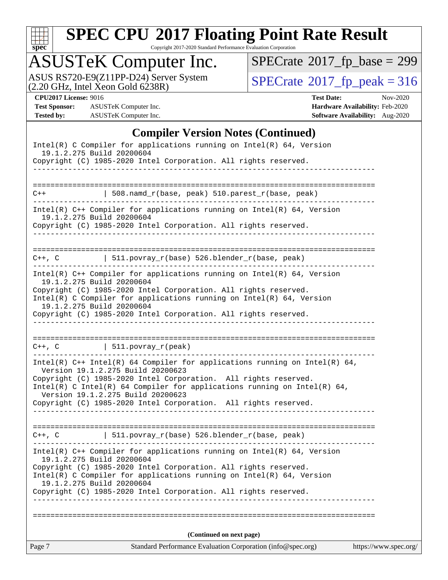

Copyright 2017-2020 Standard Performance Evaluation Corporation

## ASUSTeK Computer Inc.

ASUS RS720-E9(Z11PP-D24) Server System  $(2.20 \text{ GHz}, \text{ Intel Xeon Gold } 6238\text{R})$  [SPECrate](http://www.spec.org/auto/cpu2017/Docs/result-fields.html#SPECrate2017fppeak)®[2017\\_fp\\_peak = 3](http://www.spec.org/auto/cpu2017/Docs/result-fields.html#SPECrate2017fppeak)16

 $SPECrate$ <sup>®</sup>[2017\\_fp\\_base =](http://www.spec.org/auto/cpu2017/Docs/result-fields.html#SPECrate2017fpbase) 299

**[Test Sponsor:](http://www.spec.org/auto/cpu2017/Docs/result-fields.html#TestSponsor)** ASUSTeK Computer Inc. **[Hardware Availability:](http://www.spec.org/auto/cpu2017/Docs/result-fields.html#HardwareAvailability)** Feb-2020 **[Tested by:](http://www.spec.org/auto/cpu2017/Docs/result-fields.html#Testedby)** ASUSTeK Computer Inc. **[Software Availability:](http://www.spec.org/auto/cpu2017/Docs/result-fields.html#SoftwareAvailability)** Aug-2020

**[CPU2017 License:](http://www.spec.org/auto/cpu2017/Docs/result-fields.html#CPU2017License)** 9016 **[Test Date:](http://www.spec.org/auto/cpu2017/Docs/result-fields.html#TestDate)** Nov-2020

## **[Compiler Version Notes \(Continued\)](http://www.spec.org/auto/cpu2017/Docs/result-fields.html#CompilerVersionNotes)**

| 19.1.2.275 Build 20200604 | Copyright (C) 1985-2020 Intel Corporation. All rights reserved.<br>(Continued on next page)                                                                                          |  |
|---------------------------|--------------------------------------------------------------------------------------------------------------------------------------------------------------------------------------|--|
|                           |                                                                                                                                                                                      |  |
|                           |                                                                                                                                                                                      |  |
|                           |                                                                                                                                                                                      |  |
|                           | Copyright (C) 1985-2020 Intel Corporation. All rights reserved.<br>Intel(R) C Compiler for applications running on Intel(R) 64, Version                                              |  |
|                           | 19.1.2.275 Build 20200604                                                                                                                                                            |  |
|                           | Intel(R) $C++$ Compiler for applications running on Intel(R) 64, Version                                                                                                             |  |
|                           | $C++$ , C $\qquad \qquad$ 511.povray_r(base) 526.blender_r(base, peak)                                                                                                               |  |
|                           | Copyright (C) 1985-2020 Intel Corporation. All rights reserved.                                                                                                                      |  |
|                           | Intel(R) C Intel(R) 64 Compiler for applications running on Intel(R) 64,<br>Version 19.1.2.275 Build 20200623                                                                        |  |
|                           | Intel(R) $C++$ Intel(R) 64 Compiler for applications running on Intel(R) 64,<br>Version 19.1.2.275 Build 20200623<br>Copyright (C) 1985-2020 Intel Corporation. All rights reserved. |  |
|                           |                                                                                                                                                                                      |  |
|                           | $C++$ , C $\qquad \qquad \vert$ 511.povray_r(peak)                                                                                                                                   |  |
|                           | Copyright (C) 1985-2020 Intel Corporation. All rights reserved.                                                                                                                      |  |
| 19.1.2.275 Build 20200604 | Intel(R) C Compiler for applications running on $Intel(R) 64$ , Version                                                                                                              |  |
| 19.1.2.275 Build 20200604 | Copyright (C) 1985-2020 Intel Corporation. All rights reserved.                                                                                                                      |  |
|                           | Intel(R) $C++$ Compiler for applications running on Intel(R) 64, Version                                                                                                             |  |
|                           | C++, C $ $ 511.povray_r(base) 526.blender_r(base, peak)                                                                                                                              |  |
|                           | Copyright (C) 1985-2020 Intel Corporation. All rights reserved.                                                                                                                      |  |
| 19.1.2.275 Build 20200604 | $Intel(R)$ C++ Compiler for applications running on $Intel(R)$ 64, Version                                                                                                           |  |
| $C++$                     | $508.namd_r(base, peak) 510.parest_r(base, peak)$                                                                                                                                    |  |
|                           |                                                                                                                                                                                      |  |
|                           |                                                                                                                                                                                      |  |
| 19.1.2.275 Build 20200604 | Copyright (C) 1985-2020 Intel Corporation. All rights reserved.                                                                                                                      |  |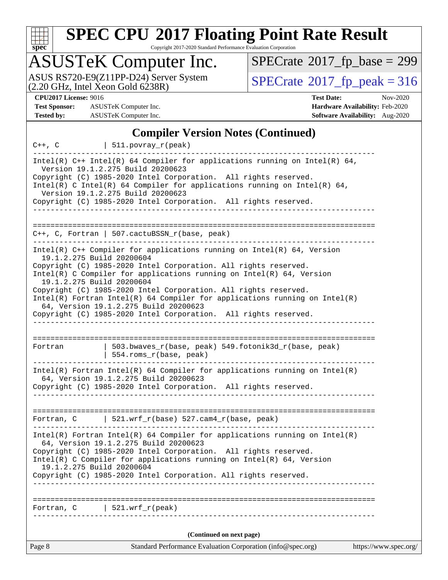

Copyright 2017-2020 Standard Performance Evaluation Corporation

## ASUSTeK Computer Inc.

ASUS RS720-E9(Z11PP-D24) Server System  $(2.20 \text{ GHz}, \text{ Intel Xeon Gold } 6238\text{R})$  [SPECrate](http://www.spec.org/auto/cpu2017/Docs/result-fields.html#SPECrate2017fppeak)®[2017\\_fp\\_peak = 3](http://www.spec.org/auto/cpu2017/Docs/result-fields.html#SPECrate2017fppeak)16

 $SPECrate$ <sup>®</sup>[2017\\_fp\\_base =](http://www.spec.org/auto/cpu2017/Docs/result-fields.html#SPECrate2017fpbase) 299

**[Test Sponsor:](http://www.spec.org/auto/cpu2017/Docs/result-fields.html#TestSponsor)** ASUSTeK Computer Inc. **[Hardware Availability:](http://www.spec.org/auto/cpu2017/Docs/result-fields.html#HardwareAvailability)** Feb-2020 **[Tested by:](http://www.spec.org/auto/cpu2017/Docs/result-fields.html#Testedby)** ASUSTeK Computer Inc. **[Software Availability:](http://www.spec.org/auto/cpu2017/Docs/result-fields.html#SoftwareAvailability)** Aug-2020

**[CPU2017 License:](http://www.spec.org/auto/cpu2017/Docs/result-fields.html#CPU2017License)** 9016 **[Test Date:](http://www.spec.org/auto/cpu2017/Docs/result-fields.html#TestDate)** Nov-2020

### **[Compiler Version Notes \(Continued\)](http://www.spec.org/auto/cpu2017/Docs/result-fields.html#CompilerVersionNotes)**

|                                                                | $C++$ , C $\qquad \qquad \vert$ 511.povray_r(peak)                                                                                                                                                                                                                                                                                                                                                                 |                       |
|----------------------------------------------------------------|--------------------------------------------------------------------------------------------------------------------------------------------------------------------------------------------------------------------------------------------------------------------------------------------------------------------------------------------------------------------------------------------------------------------|-----------------------|
|                                                                | Intel(R) $C++$ Intel(R) 64 Compiler for applications running on Intel(R) 64,<br>Version 19.1.2.275 Build 20200623<br>Copyright (C) 1985-2020 Intel Corporation. All rights reserved.<br>Intel(R) C Intel(R) 64 Compiler for applications running on Intel(R) 64,<br>Version 19.1.2.275 Build 20200623                                                                                                              |                       |
|                                                                | Copyright (C) 1985-2020 Intel Corporation. All rights reserved.                                                                                                                                                                                                                                                                                                                                                    |                       |
|                                                                |                                                                                                                                                                                                                                                                                                                                                                                                                    |                       |
|                                                                | $C++$ , C, Fortran   507.cactuBSSN_r(base, peak)                                                                                                                                                                                                                                                                                                                                                                   |                       |
| 19.1.2.275 Build 20200604<br>19.1.2.275 Build 20200604         | Intel(R) $C++$ Compiler for applications running on Intel(R) 64, Version<br>Copyright (C) 1985-2020 Intel Corporation. All rights reserved.<br>Intel(R) C Compiler for applications running on $Intel(R) 64$ , Version<br>Copyright (C) 1985-2020 Intel Corporation. All rights reserved.<br>$Intel(R)$ Fortran Intel(R) 64 Compiler for applications running on Intel(R)<br>64, Version 19.1.2.275 Build 20200623 |                       |
|                                                                | Copyright (C) 1985-2020 Intel Corporation. All rights reserved.                                                                                                                                                                                                                                                                                                                                                    |                       |
| Fortran                                                        | 503.bwaves_r(base, peak) 549.fotonik3d_r(base, peak)<br>554.roms_r(base, peak)<br>------------------------------                                                                                                                                                                                                                                                                                                   |                       |
|                                                                | Intel(R) Fortran Intel(R) 64 Compiler for applications running on Intel(R)<br>64, Version 19.1.2.275 Build 20200623<br>Copyright (C) 1985-2020 Intel Corporation. All rights reserved.                                                                                                                                                                                                                             |                       |
|                                                                | Fortran, C $\vert$ 521.wrf_r(base) 527.cam4_r(base, peak)                                                                                                                                                                                                                                                                                                                                                          |                       |
| . _ _ _ _ _ _ _ _ _ _ _ _ _ _ _ _<br>19.1.2.275 Build 20200604 | $Intel(R)$ Fortran Intel(R) 64 Compiler for applications running on Intel(R)<br>64, Version 19.1.2.275 Build 20200623<br>Copyright (C) 1985-2020 Intel Corporation. All rights reserved.<br>Intel(R) C Compiler for applications running on $Intel(R) 64$ , Version<br>Copyright (C) 1985-2020 Intel Corporation. All rights reserved.                                                                             |                       |
| Fortran, C                                                     | 521.wrf_r(peak)                                                                                                                                                                                                                                                                                                                                                                                                    |                       |
|                                                                | (Continued on next page)                                                                                                                                                                                                                                                                                                                                                                                           |                       |
| Page 8                                                         | Standard Performance Evaluation Corporation (info@spec.org)                                                                                                                                                                                                                                                                                                                                                        | https://www.spec.org/ |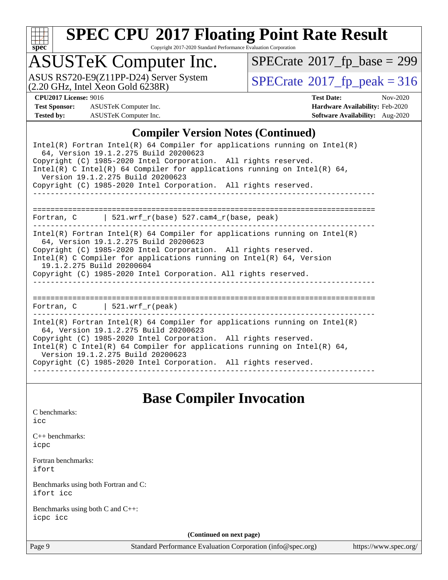

Copyright 2017-2020 Standard Performance Evaluation Corporation

## ASUSTeK Computer Inc.

ASUS RS720-E9(Z11PP-D24) Server System  $(2.20 \text{ GHz}, \text{ Intel Xeon Gold } 6238\text{R})$  [SPECrate](http://www.spec.org/auto/cpu2017/Docs/result-fields.html#SPECrate2017fppeak)®[2017\\_fp\\_peak = 3](http://www.spec.org/auto/cpu2017/Docs/result-fields.html#SPECrate2017fppeak)16

 $SPECrate$ <sup>®</sup>[2017\\_fp\\_base =](http://www.spec.org/auto/cpu2017/Docs/result-fields.html#SPECrate2017fpbase) 299

**[Test Sponsor:](http://www.spec.org/auto/cpu2017/Docs/result-fields.html#TestSponsor)** ASUSTeK Computer Inc. **[Hardware Availability:](http://www.spec.org/auto/cpu2017/Docs/result-fields.html#HardwareAvailability)** Feb-2020 **[Tested by:](http://www.spec.org/auto/cpu2017/Docs/result-fields.html#Testedby)** ASUSTeK Computer Inc. **[Software Availability:](http://www.spec.org/auto/cpu2017/Docs/result-fields.html#SoftwareAvailability)** Aug-2020

**[CPU2017 License:](http://www.spec.org/auto/cpu2017/Docs/result-fields.html#CPU2017License)** 9016 **[Test Date:](http://www.spec.org/auto/cpu2017/Docs/result-fields.html#TestDate)** Nov-2020

## **[Compiler Version Notes \(Continued\)](http://www.spec.org/auto/cpu2017/Docs/result-fields.html#CompilerVersionNotes)**

| Intel(R) Fortran Intel(R) 64 Compiler for applications running on Intel(R)<br>64, Version 19.1.2.275 Build 20200623<br>Copyright (C) 1985-2020 Intel Corporation. All rights reserved.<br>Intel(R) C Intel(R) 64 Compiler for applications running on Intel(R) 64,<br>Version 19.1.2.275 Build 20200623<br>Copyright (C) 1985-2020 Intel Corporation. All rights reserved.   |
|------------------------------------------------------------------------------------------------------------------------------------------------------------------------------------------------------------------------------------------------------------------------------------------------------------------------------------------------------------------------------|
| Fortran, $C$   521.wrf_r(base) 527.cam4_r(base, peak)                                                                                                                                                                                                                                                                                                                        |
| $Intel(R)$ Fortran Intel(R) 64 Compiler for applications running on Intel(R)<br>64, Version 19.1.2.275 Build 20200623<br>Copyright (C) 1985-2020 Intel Corporation. All rights reserved.<br>Intel(R) C Compiler for applications running on Intel(R) $64$ , Version<br>19.1.2.275 Build 20200604<br>Copyright (C) 1985-2020 Intel Corporation. All rights reserved.          |
| =====================================<br>Fortran, C   521.wrf_r(peak)                                                                                                                                                                                                                                                                                                        |
| Intel(R) Fortran Intel(R) 64 Compiler for applications running on Intel(R)<br>64, Version 19.1.2.275 Build 20200623<br>Copyright (C) 1985-2020 Intel Corporation. All rights reserved.<br>$Intel(R)$ C Intel(R) 64 Compiler for applications running on Intel(R) 64,<br>Version 19.1.2.275 Build 20200623<br>Copyright (C) 1985-2020 Intel Corporation. All rights reserved. |

**[Base Compiler Invocation](http://www.spec.org/auto/cpu2017/Docs/result-fields.html#BaseCompilerInvocation)**

| C benchmarks:<br>icc                              |                                                             |                       |
|---------------------------------------------------|-------------------------------------------------------------|-----------------------|
| $C_{++}$ benchmarks:<br>icpc                      |                                                             |                       |
| Fortran benchmarks:<br>ifort                      |                                                             |                       |
| Benchmarks using both Fortran and C:<br>ifort icc |                                                             |                       |
| Benchmarks using both C and C++:<br>icpc icc      |                                                             |                       |
|                                                   | (Continued on next page)                                    |                       |
| Page 9                                            | Standard Performance Evaluation Corporation (info@spec.org) | https://www.spec.org/ |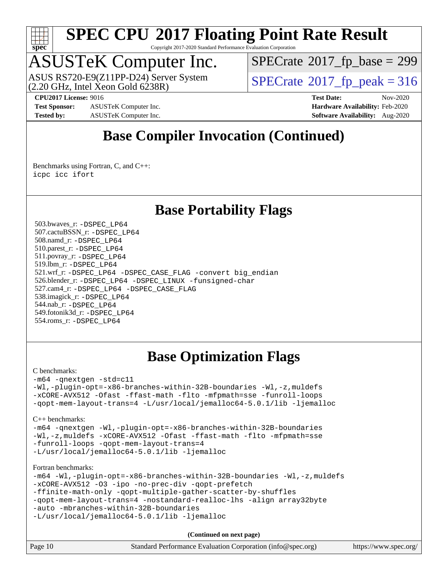

Copyright 2017-2020 Standard Performance Evaluation Corporation

## ASUSTeK Computer Inc.

 $(2.20 \text{ GHz}, \text{Intel } \hat{\text{X}}$ con Gold 6238R) ASUS RS720-E9(Z11PP-D24) Server System  $\sqrt{SPECrate^{\circ}2017\_fp\_peak} = 316$  $\sqrt{SPECrate^{\circ}2017\_fp\_peak} = 316$  $\sqrt{SPECrate^{\circ}2017\_fp\_peak} = 316$ 

 $SPECTate$ <sup>®</sup>[2017\\_fp\\_base =](http://www.spec.org/auto/cpu2017/Docs/result-fields.html#SPECrate2017fpbase) 299

**[Test Sponsor:](http://www.spec.org/auto/cpu2017/Docs/result-fields.html#TestSponsor)** ASUSTeK Computer Inc. **[Hardware Availability:](http://www.spec.org/auto/cpu2017/Docs/result-fields.html#HardwareAvailability)** Feb-2020 **[Tested by:](http://www.spec.org/auto/cpu2017/Docs/result-fields.html#Testedby)** ASUSTeK Computer Inc. **[Software Availability:](http://www.spec.org/auto/cpu2017/Docs/result-fields.html#SoftwareAvailability)** Aug-2020

**[CPU2017 License:](http://www.spec.org/auto/cpu2017/Docs/result-fields.html#CPU2017License)** 9016 **[Test Date:](http://www.spec.org/auto/cpu2017/Docs/result-fields.html#TestDate)** Nov-2020

## **[Base Compiler Invocation \(Continued\)](http://www.spec.org/auto/cpu2017/Docs/result-fields.html#BaseCompilerInvocation)**

[Benchmarks using Fortran, C, and C++:](http://www.spec.org/auto/cpu2017/Docs/result-fields.html#BenchmarksusingFortranCandCXX) [icpc](http://www.spec.org/cpu2017/results/res2020q4/cpu2017-20201207-24509.flags.html#user_CC_CXX_FCbase_intel_icpc_c510b6838c7f56d33e37e94d029a35b4a7bccf4766a728ee175e80a419847e808290a9b78be685c44ab727ea267ec2f070ec5dc83b407c0218cded6866a35d07) [icc](http://www.spec.org/cpu2017/results/res2020q4/cpu2017-20201207-24509.flags.html#user_CC_CXX_FCbase_intel_icc_66fc1ee009f7361af1fbd72ca7dcefbb700085f36577c54f309893dd4ec40d12360134090235512931783d35fd58c0460139e722d5067c5574d8eaf2b3e37e92) [ifort](http://www.spec.org/cpu2017/results/res2020q4/cpu2017-20201207-24509.flags.html#user_CC_CXX_FCbase_intel_ifort_8111460550e3ca792625aed983ce982f94888b8b503583aa7ba2b8303487b4d8a21a13e7191a45c5fd58ff318f48f9492884d4413fa793fd88dd292cad7027ca)

## **[Base Portability Flags](http://www.spec.org/auto/cpu2017/Docs/result-fields.html#BasePortabilityFlags)**

 503.bwaves\_r: [-DSPEC\\_LP64](http://www.spec.org/cpu2017/results/res2020q4/cpu2017-20201207-24509.flags.html#suite_basePORTABILITY503_bwaves_r_DSPEC_LP64) 507.cactuBSSN\_r: [-DSPEC\\_LP64](http://www.spec.org/cpu2017/results/res2020q4/cpu2017-20201207-24509.flags.html#suite_basePORTABILITY507_cactuBSSN_r_DSPEC_LP64) 508.namd\_r: [-DSPEC\\_LP64](http://www.spec.org/cpu2017/results/res2020q4/cpu2017-20201207-24509.flags.html#suite_basePORTABILITY508_namd_r_DSPEC_LP64) 510.parest\_r: [-DSPEC\\_LP64](http://www.spec.org/cpu2017/results/res2020q4/cpu2017-20201207-24509.flags.html#suite_basePORTABILITY510_parest_r_DSPEC_LP64) 511.povray\_r: [-DSPEC\\_LP64](http://www.spec.org/cpu2017/results/res2020q4/cpu2017-20201207-24509.flags.html#suite_basePORTABILITY511_povray_r_DSPEC_LP64) 519.lbm\_r: [-DSPEC\\_LP64](http://www.spec.org/cpu2017/results/res2020q4/cpu2017-20201207-24509.flags.html#suite_basePORTABILITY519_lbm_r_DSPEC_LP64) 521.wrf\_r: [-DSPEC\\_LP64](http://www.spec.org/cpu2017/results/res2020q4/cpu2017-20201207-24509.flags.html#suite_basePORTABILITY521_wrf_r_DSPEC_LP64) [-DSPEC\\_CASE\\_FLAG](http://www.spec.org/cpu2017/results/res2020q4/cpu2017-20201207-24509.flags.html#b521.wrf_r_baseCPORTABILITY_DSPEC_CASE_FLAG) [-convert big\\_endian](http://www.spec.org/cpu2017/results/res2020q4/cpu2017-20201207-24509.flags.html#user_baseFPORTABILITY521_wrf_r_convert_big_endian_c3194028bc08c63ac5d04de18c48ce6d347e4e562e8892b8bdbdc0214820426deb8554edfa529a3fb25a586e65a3d812c835984020483e7e73212c4d31a38223) 526.blender\_r: [-DSPEC\\_LP64](http://www.spec.org/cpu2017/results/res2020q4/cpu2017-20201207-24509.flags.html#suite_basePORTABILITY526_blender_r_DSPEC_LP64) [-DSPEC\\_LINUX](http://www.spec.org/cpu2017/results/res2020q4/cpu2017-20201207-24509.flags.html#b526.blender_r_baseCPORTABILITY_DSPEC_LINUX) [-funsigned-char](http://www.spec.org/cpu2017/results/res2020q4/cpu2017-20201207-24509.flags.html#user_baseCPORTABILITY526_blender_r_force_uchar_40c60f00ab013830e2dd6774aeded3ff59883ba5a1fc5fc14077f794d777847726e2a5858cbc7672e36e1b067e7e5c1d9a74f7176df07886a243d7cc18edfe67) 527.cam4\_r: [-DSPEC\\_LP64](http://www.spec.org/cpu2017/results/res2020q4/cpu2017-20201207-24509.flags.html#suite_basePORTABILITY527_cam4_r_DSPEC_LP64) [-DSPEC\\_CASE\\_FLAG](http://www.spec.org/cpu2017/results/res2020q4/cpu2017-20201207-24509.flags.html#b527.cam4_r_baseCPORTABILITY_DSPEC_CASE_FLAG) 538.imagick\_r: [-DSPEC\\_LP64](http://www.spec.org/cpu2017/results/res2020q4/cpu2017-20201207-24509.flags.html#suite_basePORTABILITY538_imagick_r_DSPEC_LP64) 544.nab\_r: [-DSPEC\\_LP64](http://www.spec.org/cpu2017/results/res2020q4/cpu2017-20201207-24509.flags.html#suite_basePORTABILITY544_nab_r_DSPEC_LP64) 549.fotonik3d\_r: [-DSPEC\\_LP64](http://www.spec.org/cpu2017/results/res2020q4/cpu2017-20201207-24509.flags.html#suite_basePORTABILITY549_fotonik3d_r_DSPEC_LP64) 554.roms\_r: [-DSPEC\\_LP64](http://www.spec.org/cpu2017/results/res2020q4/cpu2017-20201207-24509.flags.html#suite_basePORTABILITY554_roms_r_DSPEC_LP64)

## **[Base Optimization Flags](http://www.spec.org/auto/cpu2017/Docs/result-fields.html#BaseOptimizationFlags)**

### [C benchmarks](http://www.spec.org/auto/cpu2017/Docs/result-fields.html#Cbenchmarks):

[-m64](http://www.spec.org/cpu2017/results/res2020q4/cpu2017-20201207-24509.flags.html#user_CCbase_m64-icc) [-qnextgen](http://www.spec.org/cpu2017/results/res2020q4/cpu2017-20201207-24509.flags.html#user_CCbase_f-qnextgen) [-std=c11](http://www.spec.org/cpu2017/results/res2020q4/cpu2017-20201207-24509.flags.html#user_CCbase_std-icc-std_0e1c27790398a4642dfca32ffe6c27b5796f9c2d2676156f2e42c9c44eaad0c049b1cdb667a270c34d979996257aeb8fc440bfb01818dbc9357bd9d174cb8524) [-Wl,-plugin-opt=-x86-branches-within-32B-boundaries](http://www.spec.org/cpu2017/results/res2020q4/cpu2017-20201207-24509.flags.html#user_CCbase_f-x86-branches-within-32B-boundaries_0098b4e4317ae60947b7b728078a624952a08ac37a3c797dfb4ffeb399e0c61a9dd0f2f44ce917e9361fb9076ccb15e7824594512dd315205382d84209e912f3) [-Wl,-z,muldefs](http://www.spec.org/cpu2017/results/res2020q4/cpu2017-20201207-24509.flags.html#user_CCbase_link_force_multiple1_b4cbdb97b34bdee9ceefcfe54f4c8ea74255f0b02a4b23e853cdb0e18eb4525ac79b5a88067c842dd0ee6996c24547a27a4b99331201badda8798ef8a743f577) [-xCORE-AVX512](http://www.spec.org/cpu2017/results/res2020q4/cpu2017-20201207-24509.flags.html#user_CCbase_f-xCORE-AVX512) [-Ofast](http://www.spec.org/cpu2017/results/res2020q4/cpu2017-20201207-24509.flags.html#user_CCbase_f-Ofast) [-ffast-math](http://www.spec.org/cpu2017/results/res2020q4/cpu2017-20201207-24509.flags.html#user_CCbase_f-ffast-math) [-flto](http://www.spec.org/cpu2017/results/res2020q4/cpu2017-20201207-24509.flags.html#user_CCbase_f-flto) [-mfpmath=sse](http://www.spec.org/cpu2017/results/res2020q4/cpu2017-20201207-24509.flags.html#user_CCbase_f-mfpmath_70eb8fac26bde974f8ab713bc9086c5621c0b8d2f6c86f38af0bd7062540daf19db5f3a066d8c6684be05d84c9b6322eb3b5be6619d967835195b93d6c02afa1) [-funroll-loops](http://www.spec.org/cpu2017/results/res2020q4/cpu2017-20201207-24509.flags.html#user_CCbase_f-funroll-loops) [-qopt-mem-layout-trans=4](http://www.spec.org/cpu2017/results/res2020q4/cpu2017-20201207-24509.flags.html#user_CCbase_f-qopt-mem-layout-trans_fa39e755916c150a61361b7846f310bcdf6f04e385ef281cadf3647acec3f0ae266d1a1d22d972a7087a248fd4e6ca390a3634700869573d231a252c784941a8) [-L/usr/local/jemalloc64-5.0.1/lib](http://www.spec.org/cpu2017/results/res2020q4/cpu2017-20201207-24509.flags.html#user_CCbase_jemalloc_link_path64_1_cc289568b1a6c0fd3b62c91b824c27fcb5af5e8098e6ad028160d21144ef1b8aef3170d2acf0bee98a8da324cfe4f67d0a3d0c4cc4673d993d694dc2a0df248b) [-ljemalloc](http://www.spec.org/cpu2017/results/res2020q4/cpu2017-20201207-24509.flags.html#user_CCbase_jemalloc_link_lib_d1249b907c500fa1c0672f44f562e3d0f79738ae9e3c4a9c376d49f265a04b9c99b167ecedbf6711b3085be911c67ff61f150a17b3472be731631ba4d0471706)

```
C++ benchmarks:
```
[-m64](http://www.spec.org/cpu2017/results/res2020q4/cpu2017-20201207-24509.flags.html#user_CXXbase_m64-icc) [-qnextgen](http://www.spec.org/cpu2017/results/res2020q4/cpu2017-20201207-24509.flags.html#user_CXXbase_f-qnextgen) [-Wl,-plugin-opt=-x86-branches-within-32B-boundaries](http://www.spec.org/cpu2017/results/res2020q4/cpu2017-20201207-24509.flags.html#user_CXXbase_f-x86-branches-within-32B-boundaries_0098b4e4317ae60947b7b728078a624952a08ac37a3c797dfb4ffeb399e0c61a9dd0f2f44ce917e9361fb9076ccb15e7824594512dd315205382d84209e912f3) [-Wl,-z,muldefs](http://www.spec.org/cpu2017/results/res2020q4/cpu2017-20201207-24509.flags.html#user_CXXbase_link_force_multiple1_b4cbdb97b34bdee9ceefcfe54f4c8ea74255f0b02a4b23e853cdb0e18eb4525ac79b5a88067c842dd0ee6996c24547a27a4b99331201badda8798ef8a743f577) [-xCORE-AVX512](http://www.spec.org/cpu2017/results/res2020q4/cpu2017-20201207-24509.flags.html#user_CXXbase_f-xCORE-AVX512) [-Ofast](http://www.spec.org/cpu2017/results/res2020q4/cpu2017-20201207-24509.flags.html#user_CXXbase_f-Ofast) [-ffast-math](http://www.spec.org/cpu2017/results/res2020q4/cpu2017-20201207-24509.flags.html#user_CXXbase_f-ffast-math) [-flto](http://www.spec.org/cpu2017/results/res2020q4/cpu2017-20201207-24509.flags.html#user_CXXbase_f-flto) [-mfpmath=sse](http://www.spec.org/cpu2017/results/res2020q4/cpu2017-20201207-24509.flags.html#user_CXXbase_f-mfpmath_70eb8fac26bde974f8ab713bc9086c5621c0b8d2f6c86f38af0bd7062540daf19db5f3a066d8c6684be05d84c9b6322eb3b5be6619d967835195b93d6c02afa1) [-funroll-loops](http://www.spec.org/cpu2017/results/res2020q4/cpu2017-20201207-24509.flags.html#user_CXXbase_f-funroll-loops) [-qopt-mem-layout-trans=4](http://www.spec.org/cpu2017/results/res2020q4/cpu2017-20201207-24509.flags.html#user_CXXbase_f-qopt-mem-layout-trans_fa39e755916c150a61361b7846f310bcdf6f04e385ef281cadf3647acec3f0ae266d1a1d22d972a7087a248fd4e6ca390a3634700869573d231a252c784941a8) [-L/usr/local/jemalloc64-5.0.1/lib](http://www.spec.org/cpu2017/results/res2020q4/cpu2017-20201207-24509.flags.html#user_CXXbase_jemalloc_link_path64_1_cc289568b1a6c0fd3b62c91b824c27fcb5af5e8098e6ad028160d21144ef1b8aef3170d2acf0bee98a8da324cfe4f67d0a3d0c4cc4673d993d694dc2a0df248b) [-ljemalloc](http://www.spec.org/cpu2017/results/res2020q4/cpu2017-20201207-24509.flags.html#user_CXXbase_jemalloc_link_lib_d1249b907c500fa1c0672f44f562e3d0f79738ae9e3c4a9c376d49f265a04b9c99b167ecedbf6711b3085be911c67ff61f150a17b3472be731631ba4d0471706)

[Fortran benchmarks](http://www.spec.org/auto/cpu2017/Docs/result-fields.html#Fortranbenchmarks):

[-m64](http://www.spec.org/cpu2017/results/res2020q4/cpu2017-20201207-24509.flags.html#user_FCbase_m64-icc) [-Wl,-plugin-opt=-x86-branches-within-32B-boundaries](http://www.spec.org/cpu2017/results/res2020q4/cpu2017-20201207-24509.flags.html#user_FCbase_f-x86-branches-within-32B-boundaries_0098b4e4317ae60947b7b728078a624952a08ac37a3c797dfb4ffeb399e0c61a9dd0f2f44ce917e9361fb9076ccb15e7824594512dd315205382d84209e912f3) [-Wl,-z,muldefs](http://www.spec.org/cpu2017/results/res2020q4/cpu2017-20201207-24509.flags.html#user_FCbase_link_force_multiple1_b4cbdb97b34bdee9ceefcfe54f4c8ea74255f0b02a4b23e853cdb0e18eb4525ac79b5a88067c842dd0ee6996c24547a27a4b99331201badda8798ef8a743f577) [-xCORE-AVX512](http://www.spec.org/cpu2017/results/res2020q4/cpu2017-20201207-24509.flags.html#user_FCbase_f-xCORE-AVX512) [-O3](http://www.spec.org/cpu2017/results/res2020q4/cpu2017-20201207-24509.flags.html#user_FCbase_f-O3) [-ipo](http://www.spec.org/cpu2017/results/res2020q4/cpu2017-20201207-24509.flags.html#user_FCbase_f-ipo) [-no-prec-div](http://www.spec.org/cpu2017/results/res2020q4/cpu2017-20201207-24509.flags.html#user_FCbase_f-no-prec-div) [-qopt-prefetch](http://www.spec.org/cpu2017/results/res2020q4/cpu2017-20201207-24509.flags.html#user_FCbase_f-qopt-prefetch) [-ffinite-math-only](http://www.spec.org/cpu2017/results/res2020q4/cpu2017-20201207-24509.flags.html#user_FCbase_f_finite_math_only_cb91587bd2077682c4b38af759c288ed7c732db004271a9512da14a4f8007909a5f1427ecbf1a0fb78ff2a814402c6114ac565ca162485bbcae155b5e4258871) [-qopt-multiple-gather-scatter-by-shuffles](http://www.spec.org/cpu2017/results/res2020q4/cpu2017-20201207-24509.flags.html#user_FCbase_f-qopt-multiple-gather-scatter-by-shuffles) [-qopt-mem-layout-trans=4](http://www.spec.org/cpu2017/results/res2020q4/cpu2017-20201207-24509.flags.html#user_FCbase_f-qopt-mem-layout-trans_fa39e755916c150a61361b7846f310bcdf6f04e385ef281cadf3647acec3f0ae266d1a1d22d972a7087a248fd4e6ca390a3634700869573d231a252c784941a8) [-nostandard-realloc-lhs](http://www.spec.org/cpu2017/results/res2020q4/cpu2017-20201207-24509.flags.html#user_FCbase_f_2003_std_realloc_82b4557e90729c0f113870c07e44d33d6f5a304b4f63d4c15d2d0f1fab99f5daaed73bdb9275d9ae411527f28b936061aa8b9c8f2d63842963b95c9dd6426b8a) [-align array32byte](http://www.spec.org/cpu2017/results/res2020q4/cpu2017-20201207-24509.flags.html#user_FCbase_align_array32byte_b982fe038af199962ba9a80c053b8342c548c85b40b8e86eb3cc33dee0d7986a4af373ac2d51c3f7cf710a18d62fdce2948f201cd044323541f22fc0fffc51b6) [-auto](http://www.spec.org/cpu2017/results/res2020q4/cpu2017-20201207-24509.flags.html#user_FCbase_f-auto) [-mbranches-within-32B-boundaries](http://www.spec.org/cpu2017/results/res2020q4/cpu2017-20201207-24509.flags.html#user_FCbase_f-mbranches-within-32B-boundaries)

[-L/usr/local/jemalloc64-5.0.1/lib](http://www.spec.org/cpu2017/results/res2020q4/cpu2017-20201207-24509.flags.html#user_FCbase_jemalloc_link_path64_1_cc289568b1a6c0fd3b62c91b824c27fcb5af5e8098e6ad028160d21144ef1b8aef3170d2acf0bee98a8da324cfe4f67d0a3d0c4cc4673d993d694dc2a0df248b) [-ljemalloc](http://www.spec.org/cpu2017/results/res2020q4/cpu2017-20201207-24509.flags.html#user_FCbase_jemalloc_link_lib_d1249b907c500fa1c0672f44f562e3d0f79738ae9e3c4a9c376d49f265a04b9c99b167ecedbf6711b3085be911c67ff61f150a17b3472be731631ba4d0471706)

| Page 10<br>Standard Performance Evaluation Corporation (info@spec.org)<br>https://www.spec.org/ |
|-------------------------------------------------------------------------------------------------|
|-------------------------------------------------------------------------------------------------|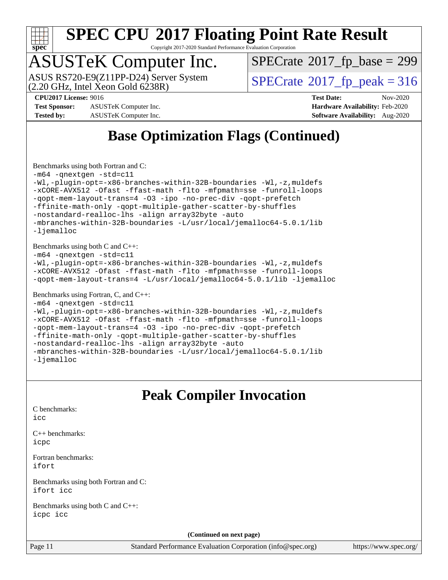

Copyright 2017-2020 Standard Performance Evaluation Corporation

## ASUSTeK Computer Inc.

ASUS RS720-E9(Z11PP-D24) Server System<br>(2.20 GHz, Intel Xeon Gold 6238R)

 $SPECTate$ <sup>®</sup>[2017\\_fp\\_base =](http://www.spec.org/auto/cpu2017/Docs/result-fields.html#SPECrate2017fpbase) 299

 $SPECTate<sup>®</sup>2017<sub>fr</sub>peak = 316$ 

**[Test Sponsor:](http://www.spec.org/auto/cpu2017/Docs/result-fields.html#TestSponsor)** ASUSTeK Computer Inc. **[Hardware Availability:](http://www.spec.org/auto/cpu2017/Docs/result-fields.html#HardwareAvailability)** Feb-2020 **[Tested by:](http://www.spec.org/auto/cpu2017/Docs/result-fields.html#Testedby)** ASUSTeK Computer Inc. **[Software Availability:](http://www.spec.org/auto/cpu2017/Docs/result-fields.html#SoftwareAvailability)** Aug-2020

**[CPU2017 License:](http://www.spec.org/auto/cpu2017/Docs/result-fields.html#CPU2017License)** 9016 **[Test Date:](http://www.spec.org/auto/cpu2017/Docs/result-fields.html#TestDate)** Nov-2020

## **[Base Optimization Flags \(Continued\)](http://www.spec.org/auto/cpu2017/Docs/result-fields.html#BaseOptimizationFlags)**

[Benchmarks using both Fortran and C](http://www.spec.org/auto/cpu2017/Docs/result-fields.html#BenchmarksusingbothFortranandC):

```
-m64 -qnextgen -std=c11
-Wl,-plugin-opt=-x86-branches-within-32B-boundaries -Wl,-z,muldefs
-xCORE-AVX512 -Ofast -ffast-math -flto -mfpmath=sse -funroll-loops
-qopt-mem-layout-trans=4 -O3 -ipo -no-prec-div -qopt-prefetch
-ffinite-math-only -qopt-multiple-gather-scatter-by-shuffles
-nostandard-realloc-lhs -align array32byte -auto
-mbranches-within-32B-boundaries -L/usr/local/jemalloc64-5.0.1/lib
-ljemalloc
```
[Benchmarks using both C and C++](http://www.spec.org/auto/cpu2017/Docs/result-fields.html#BenchmarksusingbothCandCXX):

[-m64](http://www.spec.org/cpu2017/results/res2020q4/cpu2017-20201207-24509.flags.html#user_CC_CXXbase_m64-icc) [-qnextgen](http://www.spec.org/cpu2017/results/res2020q4/cpu2017-20201207-24509.flags.html#user_CC_CXXbase_f-qnextgen) [-std=c11](http://www.spec.org/cpu2017/results/res2020q4/cpu2017-20201207-24509.flags.html#user_CC_CXXbase_std-icc-std_0e1c27790398a4642dfca32ffe6c27b5796f9c2d2676156f2e42c9c44eaad0c049b1cdb667a270c34d979996257aeb8fc440bfb01818dbc9357bd9d174cb8524)

```
-Wl,-plugin-opt=-x86-branches-within-32B-boundaries -Wl,-z,muldefs
-xCORE-AVX512 -Ofast -ffast-math -flto -mfpmath=sse -funroll-loops
-qopt-mem-layout-trans=4 -L/usr/local/jemalloc64-5.0.1/lib -ljemalloc
```
[Benchmarks using Fortran, C, and C++:](http://www.spec.org/auto/cpu2017/Docs/result-fields.html#BenchmarksusingFortranCandCXX)

```
-m64 -qnextgen -std=c11
-Wl,-plugin-opt=-x86-branches-within-32B-boundaries -Wl,-z,muldefs
-xCORE-AVX512 -Ofast -ffast-math -flto -mfpmath=sse -funroll-loops
-qopt-mem-layout-trans=4 -O3 -ipo -no-prec-div -qopt-prefetch
-ffinite-math-only -qopt-multiple-gather-scatter-by-shuffles
-nostandard-realloc-lhs -align array32byte -auto
-mbranches-within-32B-boundaries -L/usr/local/jemalloc64-5.0.1/lib
-ljemalloc
```
## **[Peak Compiler Invocation](http://www.spec.org/auto/cpu2017/Docs/result-fields.html#PeakCompilerInvocation)**

[C benchmarks](http://www.spec.org/auto/cpu2017/Docs/result-fields.html#Cbenchmarks): [icc](http://www.spec.org/cpu2017/results/res2020q4/cpu2017-20201207-24509.flags.html#user_CCpeak_intel_icc_66fc1ee009f7361af1fbd72ca7dcefbb700085f36577c54f309893dd4ec40d12360134090235512931783d35fd58c0460139e722d5067c5574d8eaf2b3e37e92)

[C++ benchmarks:](http://www.spec.org/auto/cpu2017/Docs/result-fields.html#CXXbenchmarks) [icpc](http://www.spec.org/cpu2017/results/res2020q4/cpu2017-20201207-24509.flags.html#user_CXXpeak_intel_icpc_c510b6838c7f56d33e37e94d029a35b4a7bccf4766a728ee175e80a419847e808290a9b78be685c44ab727ea267ec2f070ec5dc83b407c0218cded6866a35d07)

[Fortran benchmarks](http://www.spec.org/auto/cpu2017/Docs/result-fields.html#Fortranbenchmarks): [ifort](http://www.spec.org/cpu2017/results/res2020q4/cpu2017-20201207-24509.flags.html#user_FCpeak_intel_ifort_8111460550e3ca792625aed983ce982f94888b8b503583aa7ba2b8303487b4d8a21a13e7191a45c5fd58ff318f48f9492884d4413fa793fd88dd292cad7027ca)

[Benchmarks using both Fortran and C](http://www.spec.org/auto/cpu2017/Docs/result-fields.html#BenchmarksusingbothFortranandC): [ifort](http://www.spec.org/cpu2017/results/res2020q4/cpu2017-20201207-24509.flags.html#user_CC_FCpeak_intel_ifort_8111460550e3ca792625aed983ce982f94888b8b503583aa7ba2b8303487b4d8a21a13e7191a45c5fd58ff318f48f9492884d4413fa793fd88dd292cad7027ca) [icc](http://www.spec.org/cpu2017/results/res2020q4/cpu2017-20201207-24509.flags.html#user_CC_FCpeak_intel_icc_66fc1ee009f7361af1fbd72ca7dcefbb700085f36577c54f309893dd4ec40d12360134090235512931783d35fd58c0460139e722d5067c5574d8eaf2b3e37e92)

[Benchmarks using both C and C++](http://www.spec.org/auto/cpu2017/Docs/result-fields.html#BenchmarksusingbothCandCXX): [icpc](http://www.spec.org/cpu2017/results/res2020q4/cpu2017-20201207-24509.flags.html#user_CC_CXXpeak_intel_icpc_c510b6838c7f56d33e37e94d029a35b4a7bccf4766a728ee175e80a419847e808290a9b78be685c44ab727ea267ec2f070ec5dc83b407c0218cded6866a35d07) [icc](http://www.spec.org/cpu2017/results/res2020q4/cpu2017-20201207-24509.flags.html#user_CC_CXXpeak_intel_icc_66fc1ee009f7361af1fbd72ca7dcefbb700085f36577c54f309893dd4ec40d12360134090235512931783d35fd58c0460139e722d5067c5574d8eaf2b3e37e92)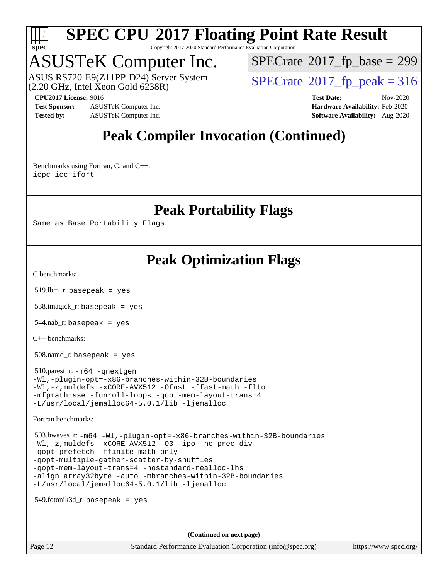

Copyright 2017-2020 Standard Performance Evaluation Corporation

## ASUSTeK Computer Inc.

ASUS RS720-E9(Z11PP-D24) Server System<br>(2.20 GHz, Intel Xeon Gold 6238R)

 $SPECTate$ <sup>®</sup>[2017\\_fp\\_base =](http://www.spec.org/auto/cpu2017/Docs/result-fields.html#SPECrate2017fpbase) 299

**[Test Sponsor:](http://www.spec.org/auto/cpu2017/Docs/result-fields.html#TestSponsor)** ASUSTeK Computer Inc. **[Hardware Availability:](http://www.spec.org/auto/cpu2017/Docs/result-fields.html#HardwareAvailability)** Feb-2020 **[Tested by:](http://www.spec.org/auto/cpu2017/Docs/result-fields.html#Testedby)** ASUSTeK Computer Inc. **[Software Availability:](http://www.spec.org/auto/cpu2017/Docs/result-fields.html#SoftwareAvailability)** Aug-2020

 $SPECTate<sup>®</sup>2017<sub>fr</sub>peak = 316$ **[CPU2017 License:](http://www.spec.org/auto/cpu2017/Docs/result-fields.html#CPU2017License)** 9016 **[Test Date:](http://www.spec.org/auto/cpu2017/Docs/result-fields.html#TestDate)** Nov-2020

## **[Peak Compiler Invocation \(Continued\)](http://www.spec.org/auto/cpu2017/Docs/result-fields.html#PeakCompilerInvocation)**

[Benchmarks using Fortran, C, and C++:](http://www.spec.org/auto/cpu2017/Docs/result-fields.html#BenchmarksusingFortranCandCXX) [icpc](http://www.spec.org/cpu2017/results/res2020q4/cpu2017-20201207-24509.flags.html#user_CC_CXX_FCpeak_intel_icpc_c510b6838c7f56d33e37e94d029a35b4a7bccf4766a728ee175e80a419847e808290a9b78be685c44ab727ea267ec2f070ec5dc83b407c0218cded6866a35d07) [icc](http://www.spec.org/cpu2017/results/res2020q4/cpu2017-20201207-24509.flags.html#user_CC_CXX_FCpeak_intel_icc_66fc1ee009f7361af1fbd72ca7dcefbb700085f36577c54f309893dd4ec40d12360134090235512931783d35fd58c0460139e722d5067c5574d8eaf2b3e37e92) [ifort](http://www.spec.org/cpu2017/results/res2020q4/cpu2017-20201207-24509.flags.html#user_CC_CXX_FCpeak_intel_ifort_8111460550e3ca792625aed983ce982f94888b8b503583aa7ba2b8303487b4d8a21a13e7191a45c5fd58ff318f48f9492884d4413fa793fd88dd292cad7027ca)

**[Peak Portability Flags](http://www.spec.org/auto/cpu2017/Docs/result-fields.html#PeakPortabilityFlags)**

Same as Base Portability Flags

## **[Peak Optimization Flags](http://www.spec.org/auto/cpu2017/Docs/result-fields.html#PeakOptimizationFlags)**

[C benchmarks](http://www.spec.org/auto/cpu2017/Docs/result-fields.html#Cbenchmarks):

519.lbm\_r: basepeak = yes

538.imagick\_r: basepeak = yes

 $544$ .nab\_r: basepeak = yes

[C++ benchmarks:](http://www.spec.org/auto/cpu2017/Docs/result-fields.html#CXXbenchmarks)

508.namd\_r: basepeak = yes

 510.parest\_r: [-m64](http://www.spec.org/cpu2017/results/res2020q4/cpu2017-20201207-24509.flags.html#user_peakCXXLD510_parest_r_m64-icc) [-qnextgen](http://www.spec.org/cpu2017/results/res2020q4/cpu2017-20201207-24509.flags.html#user_peakCXXLD510_parest_r_f-qnextgen) [-Wl,-plugin-opt=-x86-branches-within-32B-boundaries](http://www.spec.org/cpu2017/results/res2020q4/cpu2017-20201207-24509.flags.html#user_peakLDFLAGS510_parest_r_f-x86-branches-within-32B-boundaries_0098b4e4317ae60947b7b728078a624952a08ac37a3c797dfb4ffeb399e0c61a9dd0f2f44ce917e9361fb9076ccb15e7824594512dd315205382d84209e912f3) [-Wl,-z,muldefs](http://www.spec.org/cpu2017/results/res2020q4/cpu2017-20201207-24509.flags.html#user_peakEXTRA_LDFLAGS510_parest_r_link_force_multiple1_b4cbdb97b34bdee9ceefcfe54f4c8ea74255f0b02a4b23e853cdb0e18eb4525ac79b5a88067c842dd0ee6996c24547a27a4b99331201badda8798ef8a743f577) [-xCORE-AVX512](http://www.spec.org/cpu2017/results/res2020q4/cpu2017-20201207-24509.flags.html#user_peakCXXOPTIMIZE510_parest_r_f-xCORE-AVX512) [-Ofast](http://www.spec.org/cpu2017/results/res2020q4/cpu2017-20201207-24509.flags.html#user_peakCXXOPTIMIZE510_parest_r_f-Ofast) [-ffast-math](http://www.spec.org/cpu2017/results/res2020q4/cpu2017-20201207-24509.flags.html#user_peakCXXOPTIMIZE510_parest_r_f-ffast-math) [-flto](http://www.spec.org/cpu2017/results/res2020q4/cpu2017-20201207-24509.flags.html#user_peakCXXOPTIMIZE510_parest_r_f-flto) [-mfpmath=sse](http://www.spec.org/cpu2017/results/res2020q4/cpu2017-20201207-24509.flags.html#user_peakCXXOPTIMIZE510_parest_r_f-mfpmath_70eb8fac26bde974f8ab713bc9086c5621c0b8d2f6c86f38af0bd7062540daf19db5f3a066d8c6684be05d84c9b6322eb3b5be6619d967835195b93d6c02afa1) [-funroll-loops](http://www.spec.org/cpu2017/results/res2020q4/cpu2017-20201207-24509.flags.html#user_peakCXXOPTIMIZE510_parest_r_f-funroll-loops) [-qopt-mem-layout-trans=4](http://www.spec.org/cpu2017/results/res2020q4/cpu2017-20201207-24509.flags.html#user_peakCXXOPTIMIZE510_parest_r_f-qopt-mem-layout-trans_fa39e755916c150a61361b7846f310bcdf6f04e385ef281cadf3647acec3f0ae266d1a1d22d972a7087a248fd4e6ca390a3634700869573d231a252c784941a8) [-L/usr/local/jemalloc64-5.0.1/lib](http://www.spec.org/cpu2017/results/res2020q4/cpu2017-20201207-24509.flags.html#user_peakEXTRA_LIBS510_parest_r_jemalloc_link_path64_1_cc289568b1a6c0fd3b62c91b824c27fcb5af5e8098e6ad028160d21144ef1b8aef3170d2acf0bee98a8da324cfe4f67d0a3d0c4cc4673d993d694dc2a0df248b) [-ljemalloc](http://www.spec.org/cpu2017/results/res2020q4/cpu2017-20201207-24509.flags.html#user_peakEXTRA_LIBS510_parest_r_jemalloc_link_lib_d1249b907c500fa1c0672f44f562e3d0f79738ae9e3c4a9c376d49f265a04b9c99b167ecedbf6711b3085be911c67ff61f150a17b3472be731631ba4d0471706)

[Fortran benchmarks](http://www.spec.org/auto/cpu2017/Docs/result-fields.html#Fortranbenchmarks):

```
 503.bwaves_r: -m64 -Wl,-plugin-opt=-x86-branches-within-32B-boundaries
-Wl,-z,muldefs -xCORE-AVX512 -O3 -ipo -no-prec-div
-qopt-prefetch -ffinite-math-only
-qopt-multiple-gather-scatter-by-shuffles
-qopt-mem-layout-trans=4 -nostandard-realloc-lhs
-align array32byte -auto -mbranches-within-32B-boundaries
-L/usr/local/jemalloc64-5.0.1/lib -ljemalloc
```
 $549.$ fotonik $3d$ <sub>-</sub> $r:$  basepeak = yes